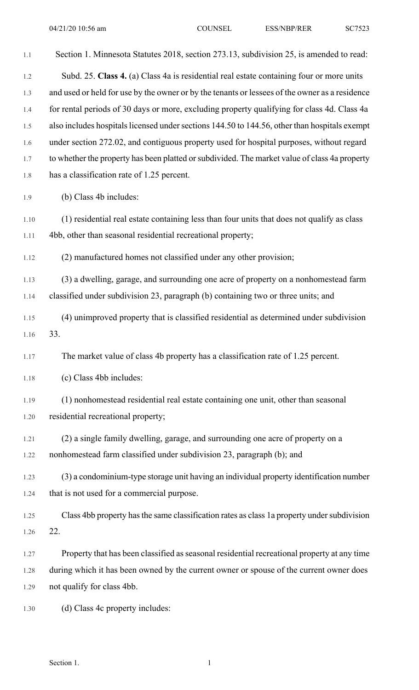| 1.1  | Section 1. Minnesota Statutes 2018, section 273.13, subdivision 25, is amended to read:        |
|------|------------------------------------------------------------------------------------------------|
| 1.2  | Subd. 25. Class 4. (a) Class 4a is residential real estate containing four or more units       |
| 1.3  | and used or held for use by the owner or by the tenants or lessees of the owner as a residence |
| 1.4  | for rental periods of 30 days or more, excluding property qualifying for class 4d. Class 4a    |
| 1.5  | also includes hospitals licensed under sections 144.50 to 144.56, other than hospitals exempt  |
| 1.6  | under section 272.02, and contiguous property used for hospital purposes, without regard       |
| 1.7  | to whether the property has been platted or subdivided. The market value of class 4a property  |
| 1.8  | has a classification rate of 1.25 percent.                                                     |
| 1.9  | (b) Class 4b includes:                                                                         |
| 1.10 | (1) residential real estate containing less than four units that does not qualify as class     |
| 1.11 | 4bb, other than seasonal residential recreational property;                                    |
| 1.12 | (2) manufactured homes not classified under any other provision;                               |
| 1.13 | (3) a dwelling, garage, and surrounding one acre of property on a nonhomestead farm            |
| 1.14 | classified under subdivision 23, paragraph (b) containing two or three units; and              |
| 1.15 | (4) unimproved property that is classified residential as determined under subdivision         |
| 1.16 | 33.                                                                                            |
| 1.17 | The market value of class 4b property has a classification rate of 1.25 percent.               |
| 1.18 | (c) Class 4bb includes:                                                                        |
| 1.19 | (1) nonhomestead residential real estate containing one unit, other than seasonal              |
| 1.20 | residential recreational property;                                                             |
| 1.21 | (2) a single family dwelling, garage, and surrounding one acre of property on a                |
| 1.22 | nonhomestead farm classified under subdivision 23, paragraph (b); and                          |
| 1.23 | (3) a condominium-type storage unit having an individual property identification number        |
| 1.24 | that is not used for a commercial purpose.                                                     |
| 1.25 | Class 4bb property has the same classification rates as class 1a property under subdivision    |
| 1.26 | 22.                                                                                            |
| 1.27 | Property that has been classified as seasonal residential recreational property at any time    |
| 1.28 | during which it has been owned by the current owner or spouse of the current owner does        |
| 1.29 | not qualify for class 4bb.                                                                     |
| 1.30 | (d) Class 4c property includes:                                                                |

Section 1.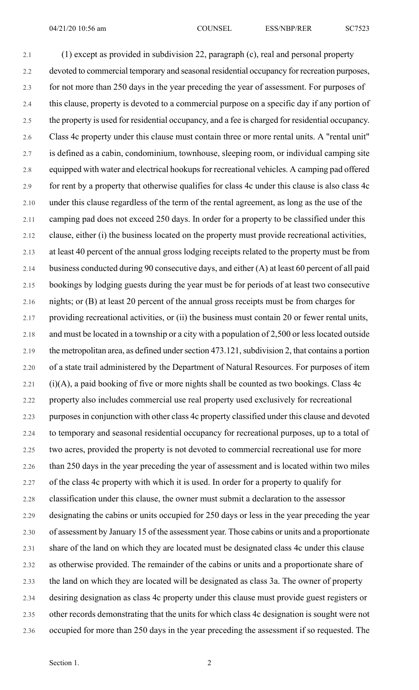2.1 (1) except as provided in subdivision 22, paragraph (c), real and personal property 2.2 devoted to commercial temporary and seasonal residential occupancy for recreation purposes, 2.3 for not more than 250 days in the year preceding the year of assessment. For purposes of 2.4 this clause, property is devoted to a commercial purpose on a specific day if any portion of 2.5 the property is used for residential occupancy, and a fee is charged for residential occupancy. 2.6 Class 4c property under this clause must contain three or more rental units. A "rental unit" 2.7 is defined as a cabin, condominium, townhouse, sleeping room, or individual camping site 2.8 equipped with water and electrical hookups for recreational vehicles. A camping pad offered 2.9 for rent by a property that otherwise qualifies for class 4c under this clause is also class 4c 2.10 under this clause regardless of the term of the rental agreement, as long as the use of the 2.11 camping pad does not exceed 250 days. In order for a property to be classified under this 2.12 clause, either (i) the business located on the property must provide recreational activities, 2.13 at least 40 percent of the annual gross lodging receipts related to the property must be from 2.14 business conducted during 90 consecutive days, and either (A) at least 60 percent of all paid 2.15 bookings by lodging guests during the year must be for periods of at least two consecutive 2.16 nights; or (B) at least 20 percent of the annual gross receipts must be from charges for 2.17 providing recreational activities, or (ii) the business must contain 20 or fewer rental units, 2.18 and must be located in a township or a city with a population of 2,500 or less located outside 2.19 the metropolitan area, as defined under section 473.121, subdivision 2, that contains a portion 2.20 of a state trail administered by the Department of Natural Resources. For purposes of item  $2.21$  (i)(A), a paid booking of five or more nights shall be counted as two bookings. Class 4c 2.22 property also includes commercial use real property used exclusively for recreational 2.23 purposesin conjunction with other class 4c property classified under this clause and devoted 2.24 to temporary and seasonal residential occupancy for recreational purposes, up to a total of 2.25 two acres, provided the property is not devoted to commercial recreational use for more 2.26 than 250 days in the year preceding the year of assessment and is located within two miles 2.27 of the class 4c property with which it is used. In order for a property to qualify for 2.28 classification under this clause, the owner must submit a declaration to the assessor 2.29 designating the cabins or units occupied for 250 days or less in the year preceding the year 2.30 of assessment by January 15 of the assessment year. Those cabins or units and a proportionate 2.31 share of the land on which they are located must be designated class 4c under this clause 2.32 as otherwise provided. The remainder of the cabins or units and a proportionate share of 2.33 the land on which they are located will be designated as class 3a. The owner of property 2.34 desiring designation as class 4c property under this clause must provide guest registers or 2.35 other records demonstrating that the units for which class 4c designation is sought were not 2.36 occupied for more than 250 days in the year preceding the assessment if so requested. The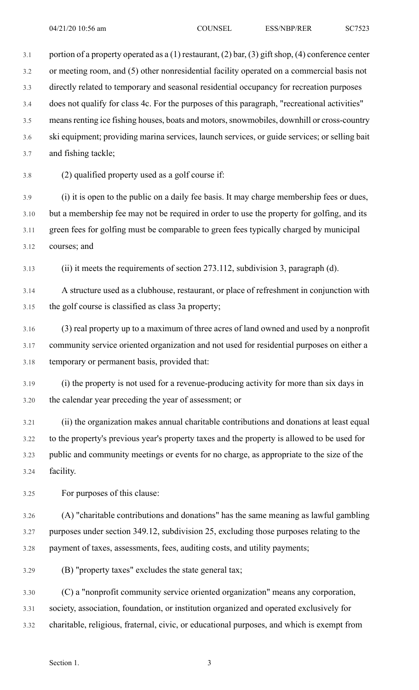3.1 portion of a property operated as a (1) restaurant, (2) bar, (3) gift shop, (4) conference center 3.2 or meeting room, and (5) other nonresidential facility operated on a commercial basis not 3.3 directly related to temporary and seasonal residential occupancy for recreation purposes 3.4 does not qualify for class 4c. For the purposes of this paragraph, "recreational activities" 3.5 means renting ice fishing houses, boats and motors, snowmobiles, downhill or cross-country 3.6 ski equipment; providing marina services, launch services, or guide services; or selling bait 3.7 and fishing tackle;

3.8 (2) qualified property used as a golf course if:

3.9 (i) it is open to the public on a daily fee basis. It may charge membership fees or dues, 3.10 but a membership fee may not be required in order to use the property for golfing, and its 3.11 green fees for golfing must be comparable to green fees typically charged by municipal 3.12 courses; and

3.13 (ii) it meets the requirements of section 273.112, subdivision 3, paragraph (d).

3.14 A structure used as a clubhouse, restaurant, or place of refreshment in conjunction with 3.15 the golf course is classified as class 3a property;

3.16 (3) real property up to a maximum of three acres of land owned and used by a nonprofit 3.17 community service oriented organization and not used for residential purposes on either a 3.18 temporary or permanent basis, provided that:

3.19 (i) the property is not used for a revenue-producing activity for more than six days in 3.20 the calendar year preceding the year of assessment; or

3.21 (ii) the organization makes annual charitable contributions and donations at least equal 3.22 to the property's previous year's property taxes and the property is allowed to be used for 3.23 public and community meetings or events for no charge, as appropriate to the size of the 3.24 facility.

3.25 For purposes of this clause:

3.26 (A) "charitable contributions and donations" has the same meaning as lawful gambling 3.27 purposes under section 349.12, subdivision 25, excluding those purposes relating to the 3.28 payment of taxes, assessments, fees, auditing costs, and utility payments;

3.29 (B) "property taxes" excludes the state general tax;

3.30 (C) a "nonprofit community service oriented organization" means any corporation, 3.31 society, association, foundation, or institution organized and operated exclusively for 3.32 charitable, religious, fraternal, civic, or educational purposes, and which is exempt from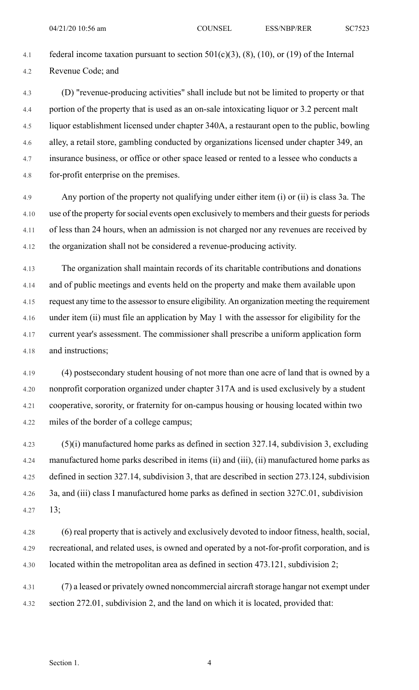4.1 federal income taxation pursuant to section  $501(c)(3)$ ,  $(8)$ ,  $(10)$ , or  $(19)$  of the Internal 4.2 Revenue Code; and

4.3 (D) "revenue-producing activities" shall include but not be limited to property or that 4.4 portion of the property that is used as an on-sale intoxicating liquor or 3.2 percent malt 4.5 liquor establishment licensed under chapter 340A, a restaurant open to the public, bowling 4.6 alley, a retail store, gambling conducted by organizations licensed under chapter 349, an 4.7 insurance business, or office or other space leased or rented to a lessee who conducts a 4.8 for-profit enterprise on the premises.

4.9 Any portion of the property not qualifying under either item (i) or (ii) is class 3a. The 4.10 use of the property for social events open exclusively to members and their guests for periods 4.11 of less than 24 hours, when an admission is not charged nor any revenues are received by 4.12 the organization shall not be considered a revenue-producing activity.

4.13 The organization shall maintain records of its charitable contributions and donations 4.14 and of public meetings and events held on the property and make them available upon 4.15 request any time to the assessor to ensure eligibility. An organization meeting the requirement 4.16 under item (ii) must file an application by May 1 with the assessor for eligibility for the 4.17 current year's assessment. The commissioner shall prescribe a uniform application form 4.18 and instructions;

4.19 (4) postsecondary student housing of not more than one acre of land that is owned by a 4.20 nonprofit corporation organized under chapter 317A and is used exclusively by a student 4.21 cooperative, sorority, or fraternity for on-campus housing or housing located within two 4.22 miles of the border of a college campus;

4.23 (5)(i) manufactured home parks as defined in section 327.14, subdivision 3, excluding 4.24 manufactured home parks described in items (ii) and (iii), (ii) manufactured home parks as 4.25 defined in section 327.14, subdivision 3, that are described in section 273.124, subdivision 4.26 3a, and (iii) class I manufactured home parks as defined in section 327C.01, subdivision 4.27 13;

4.28 (6) real property that is actively and exclusively devoted to indoor fitness, health, social, 4.29 recreational, and related uses, is owned and operated by a not-for-profit corporation, and is 4.30 located within the metropolitan area as defined in section 473.121, subdivision 2;

4.31 (7) a leased or privately owned noncommercial aircraft storage hangar not exempt under 4.32 section 272.01, subdivision 2, and the land on which it is located, provided that: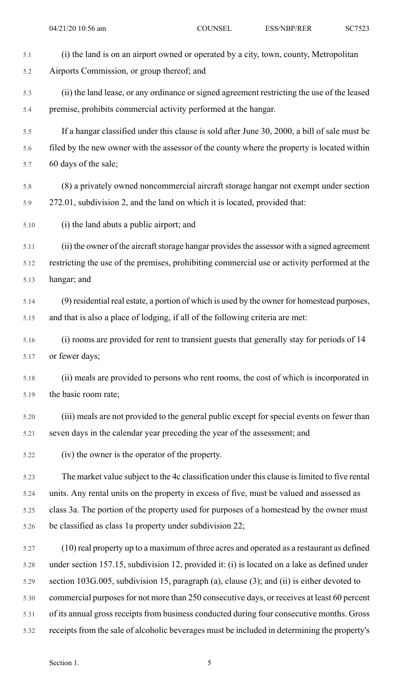| 5.1  | (i) the land is on an airport owned or operated by a city, town, county, Metropolitan         |
|------|-----------------------------------------------------------------------------------------------|
| 5.2  | Airports Commission, or group thereof; and                                                    |
| 5.3  | (ii) the land lease, or any ordinance or signed agreement restricting the use of the leased   |
| 5.4  | premise, prohibits commercial activity performed at the hangar.                               |
| 5.5  | If a hangar classified under this clause is sold after June 30, 2000, a bill of sale must be  |
| 5.6  | filed by the new owner with the assessor of the county where the property is located within   |
| 5.7  | 60 days of the sale;                                                                          |
| 5.8  | (8) a privately owned noncommercial aircraft storage hangar not exempt under section          |
| 5.9  | 272.01, subdivision 2, and the land on which it is located, provided that:                    |
| 5.10 | (i) the land abuts a public airport; and                                                      |
| 5.11 | (ii) the owner of the aircraft storage hangar provides the assessor with a signed agreement   |
| 5.12 | restricting the use of the premises, prohibiting commercial use or activity performed at the  |
| 5.13 | hangar; and                                                                                   |
| 5.14 | (9) residential real estate, a portion of which is used by the owner for homestead purposes,  |
| 5.15 | and that is also a place of lodging, if all of the following criteria are met:                |
| 5.16 | (i) rooms are provided for rent to transient guests that generally stay for periods of 14     |
| 5.17 | or fewer days;                                                                                |
| 5.18 | (ii) meals are provided to persons who rent rooms, the cost of which is incorporated in       |
| 5.19 | the basic room rate;                                                                          |
| 5.20 | (iii) meals are not provided to the general public except for special events on fewer than    |
| 5.21 | seven days in the calendar year preceding the year of the assessment; and                     |
| 5.22 | (iv) the owner is the operator of the property.                                               |
| 5.23 | The market value subject to the 4c classification under this clause is limited to five rental |
| 5.24 | units. Any rental units on the property in excess of five, must be valued and assessed as     |
| 5.25 | class 3a. The portion of the property used for purposes of a homestead by the owner must      |
| 5.26 | be classified as class 1a property under subdivision 22;                                      |
| 5.27 | (10) real property up to a maximum of three acres and operated as a restaurant as defined     |
| 5.28 | under section 157.15, subdivision 12, provided it: (i) is located on a lake as defined under  |
| 5.29 | section 103G.005, subdivision 15, paragraph (a), clause (3); and (ii) is either devoted to    |
| 5.30 | commercial purposes for not more than 250 consecutive days, or receives at least 60 percent   |
| 5.31 | of its annual gross receipts from business conducted during four consecutive months. Gross    |
| 5.32 | receipts from the sale of alcoholic beverages must be included in determining the property's  |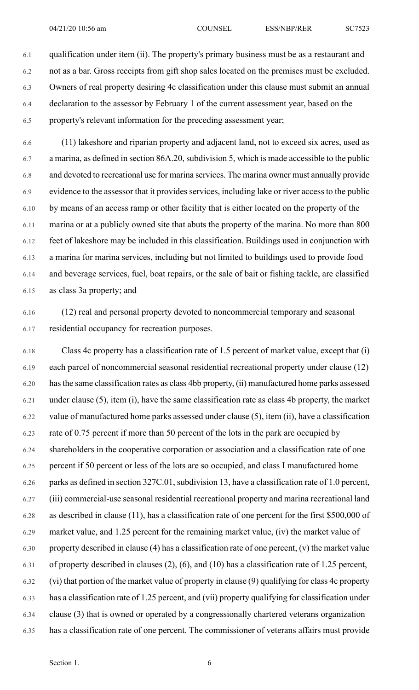6.1 qualification under item (ii). The property's primary business must be as a restaurant and 6.2 not as a bar. Gross receipts from gift shop sales located on the premises must be excluded. 6.3 Owners of real property desiring 4c classification under this clause must submit an annual 6.4 declaration to the assessor by February 1 of the current assessment year, based on the 6.5 property's relevant information for the preceding assessment year;

6.6 (11) lakeshore and riparian property and adjacent land, not to exceed six acres, used as 6.7 a marina, as defined in section 86A.20, subdivision 5, which is made accessible to the public 6.8 and devoted to recreational use for marina services. The marina owner must annually provide 6.9 evidence to the assessor that it provides services, including lake or river access to the public 6.10 by means of an access ramp or other facility that is either located on the property of the 6.11 marina or at a publicly owned site that abuts the property of the marina. No more than 800 6.12 feet of lakeshore may be included in this classification. Buildings used in conjunction with 6.13 a marina for marina services, including but not limited to buildings used to provide food 6.14 and beverage services, fuel, boat repairs, or the sale of bait or fishing tackle, are classified 6.15 as class 3a property; and

6.16 (12) real and personal property devoted to noncommercial temporary and seasonal 6.17 residential occupancy for recreation purposes.

6.18 Class 4c property has a classification rate of 1.5 percent of market value, except that (i) 6.19 each parcel of noncommercial seasonal residential recreational property under clause (12) 6.20 hasthe same classification rates as class 4bb property, (ii) manufactured home parks assessed 6.21 under clause (5), item (i), have the same classification rate as class 4b property, the market 6.22 value of manufactured home parks assessed under clause (5), item (ii), have a classification 6.23 rate of 0.75 percent if more than 50 percent of the lots in the park are occupied by 6.24 shareholders in the cooperative corporation or association and a classification rate of one 6.25 percent if 50 percent or less of the lots are so occupied, and class I manufactured home 6.26 parks as defined in section 327C.01, subdivision 13, have a classification rate of 1.0 percent, 6.27 (iii) commercial-use seasonal residential recreational property and marina recreational land 6.28 as described in clause (11), has a classification rate of one percent for the first \$500,000 of 6.29 market value, and 1.25 percent for the remaining market value, (iv) the market value of 6.30 property described in clause (4) has a classification rate of one percent, (v) the market value 6.31 of property described in clauses (2), (6), and (10) has a classification rate of 1.25 percent, 6.32 (vi) that portion of the market value of property in clause (9) qualifying for class 4c property 6.33 has a classification rate of 1.25 percent, and (vii) property qualifying for classification under 6.34 clause (3) that is owned or operated by a congressionally chartered veterans organization 6.35 has a classification rate of one percent. The commissioner of veterans affairs must provide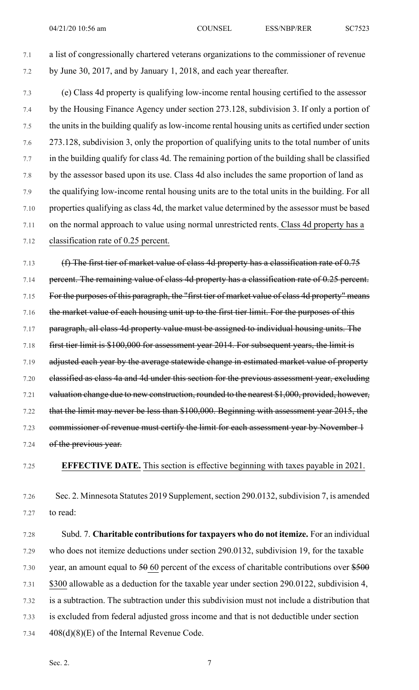7.1 a list of congressionally chartered veterans organizations to the commissioner of revenue 7.2 by June 30, 2017, and by January 1, 2018, and each year thereafter.

7.3 (e) Class 4d property is qualifying low-income rental housing certified to the assessor 7.4 by the Housing Finance Agency under section 273.128, subdivision 3. If only a portion of 7.5 the units in the building qualify as low-income rental housing units as certified under section 7.6 273.128, subdivision 3, only the proportion of qualifying units to the total number of units 7.7 in the building qualify for class 4d. The remaining portion of the building shall be classified 7.8 by the assessor based upon its use. Class 4d also includes the same proportion of land as 7.9 the qualifying low-income rental housing units are to the total units in the building. For all 7.10 properties qualifying as class 4d, the market value determined by the assessor must be based 7.11 on the normal approach to value using normal unrestricted rents. Class 4d property has a 7.12 classification rate of 0.25 percent.

7.13 (f) The first tier of market value of class 4d property has a classification rate of 0.75 7.14 percent. The remaining value of class 4d property has a classification rate of 0.25 percent. 7.15 For the purposes of this paragraph, the "first tier of market value of class 4d property" means 7.16 the market value of each housing unit up to the first tier limit. For the purposes of this 7.17 paragraph, all class 4d property value must be assigned to individual housing units. The 7.18 first tier limit is \$100,000 for assessment year 2014. For subsequent years, the limit is 7.19 adjusted each year by the average statewide change in estimated market value of property 7.20 classified as class 4a and 4d under this section for the previous assessment year, excluding 7.21 valuation change due to new construction, rounded to the nearest \$1,000, provided, however, 7.22 that the limit may never be less than \$100,000. Beginning with assessment year 2015, the 7.23 commissioner of revenue must certify the limit for each assessment year by November 1 7.24 of the previous year.

7.25 **EFFECTIVE DATE.** This section is effective beginning with taxes payable in 2021.

7.26 Sec. 2. Minnesota Statutes 2019 Supplement, section 290.0132, subdivision 7, is amended 7.27 to read:

7.28 Subd. 7. **Charitable contributionsfor taxpayers who do not itemize.** For an individual 7.29 who does not itemize deductions under section 290.0132, subdivision 19, for the taxable 7.30 year, an amount equal to  $50,60$  percent of the excess of charitable contributions over  $$500$ 7.31 \$300 allowable as a deduction for the taxable year under section 290.0122, subdivision 4, 7.32 is a subtraction. The subtraction under this subdivision must not include a distribution that 7.33 is excluded from federal adjusted gross income and that is not deductible under section 7.34 408(d)(8)(E) of the Internal Revenue Code.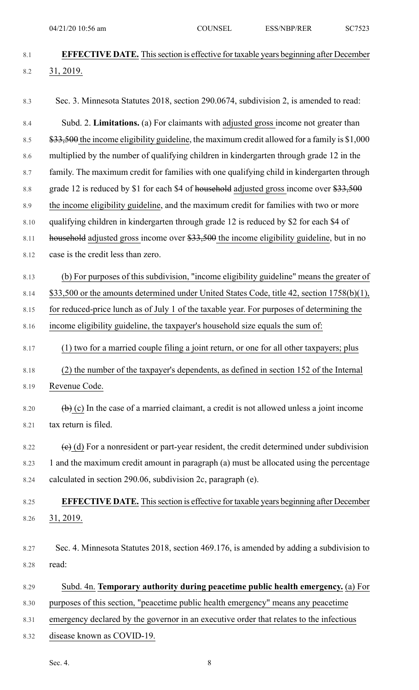| 8.1     | <b>EFFECTIVE DATE.</b> This section is effective for taxable years beginning after December                     |
|---------|-----------------------------------------------------------------------------------------------------------------|
| 8.2     | 31, 2019.                                                                                                       |
|         |                                                                                                                 |
| 8.3     | Sec. 3. Minnesota Statutes 2018, section 290.0674, subdivision 2, is amended to read:                           |
| 8.4     | Subd. 2. Limitations. (a) For claimants with adjusted gross income not greater than                             |
| 8.5     | \$33,500 the income eligibility guideline, the maximum credit allowed for a family is \$1,000                   |
| 8.6     | multiplied by the number of qualifying children in kindergarten through grade 12 in the                         |
| 8.7     | family. The maximum credit for families with one qualifying child in kindergarten through                       |
| $8.8\,$ | grade 12 is reduced by \$1 for each \$4 of household adjusted gross income over $$33,500$                       |
| 8.9     | the income eligibility guideline, and the maximum credit for families with two or more                          |
| 8.10    | qualifying children in kindergarten through grade 12 is reduced by \$2 for each \$4 of                          |
| 8.11    | household adjusted gross income over \$33,500 the income eligibility guideline, but in no                       |
| 8.12    | case is the credit less than zero.                                                                              |
| 8.13    | (b) For purposes of this subdivision, "income eligibility guideline" means the greater of                       |
| 8.14    | \$33,500 or the amounts determined under United States Code, title 42, section 1758(b)(1),                      |
| 8.15    | for reduced-price lunch as of July 1 of the taxable year. For purposes of determining the                       |
| 8.16    | income eligibility guideline, the taxpayer's household size equals the sum of:                                  |
|         | (1) two for a married couple filing a joint return, or one for all other taxpayers; plus                        |
| 8.17    |                                                                                                                 |
| 8.18    | (2) the number of the taxpayer's dependents, as defined in section 152 of the Internal                          |
| 8.19    | Revenue Code.                                                                                                   |
| 8.20    | $\overline{a}$ (c) In the case of a married claimant, a credit is not allowed unless a joint income             |
| 8.21    | tax return is filed.                                                                                            |
|         |                                                                                                                 |
| 8.22    | $\left(\frac{e}{e}\right)$ (d) For a nonresident or part-year resident, the credit determined under subdivision |
| 8.23    | 1 and the maximum credit amount in paragraph (a) must be allocated using the percentage                         |
| 8.24    | calculated in section 290.06, subdivision 2c, paragraph (e).                                                    |
| 8.25    | <b>EFFECTIVE DATE.</b> This section is effective for taxable years beginning after December                     |
| 8.26    | 31, 2019.                                                                                                       |
|         |                                                                                                                 |
| 8.27    | Sec. 4. Minnesota Statutes 2018, section 469.176, is amended by adding a subdivision to                         |
| 8.28    | read:                                                                                                           |
| 8.29    | Subd. 4n. Temporary authority during peacetime public health emergency. (a) For                                 |
| 8.30    | purposes of this section, "peacetime public health emergency" means any peacetime                               |
| 8.31    | emergency declared by the governor in an executive order that relates to the infectious                         |
| 8.32    | disease known as COVID-19.                                                                                      |